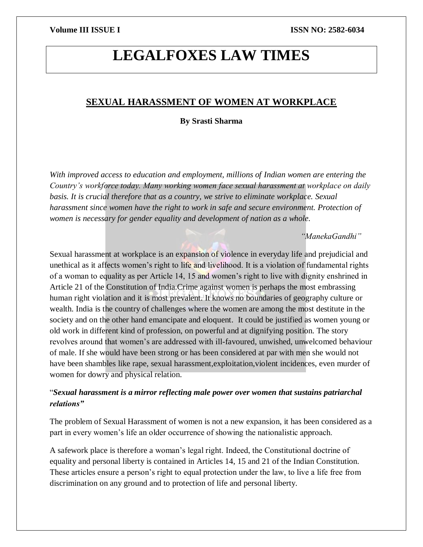# **LEGALFOXES LAW TIMES**

# **SEXUAL HARASSMENT OF WOMEN AT WORKPLACE**

### **By Srasti Sharma**

*With improved access to education and employment, millions of Indian women are entering the Country's workforce today. Many working women face sexual harassment at workplace on daily basis. It is crucial therefore that as a country, we strive to eliminate workplace. Sexual harassment since women have the right to work in safe and secure environment. Protection of women is necessary for gender equality and development of nation as a whole.*

### *"ManekaGandhi"*

Sexual harassment at workplace is an expansion of violence in everyday life and prejudicial and unethical as it affects women's right to life and livelihood. It is a violation of fundamental rights of a woman to equality as per Article 14, 15 and women's right to live with dignity enshrined in Article 21 of the Constitution of India.Crime against women is perhaps the most embrassing human right violation and it is most prevalent. It knows no boundaries of geography culture or wealth. India is the country of challenges where the women are among the most destitute in the society and on the other hand emancipate and eloquent. It could be justified as women young or old work in different kind of profession, on powerful and at dignifying position. The story revolves around that women's are addressed with ill-favoured, unwished, unwelcomed behaviour of male. If she would have been strong or has been considered at par with men she would not have been shambles like rape, sexual harassment,exploitation,violent incidences, even murder of women for dowry and physical relation.

# "*Sexual harassment is a mirror reflecting male power over women that sustains patriarchal relations"*

The problem of Sexual Harassment of women is not a new expansion, it has been considered as a part in every women's life an older occurrence of showing the nationalistic approach.

A safework place is therefore a woman's legal right. Indeed, the Constitutional doctrine of equality and personal liberty is contained in Articles 14, 15 and 21 of the Indian Constitution. These articles ensure a person's right to equal protection under the law, to live a life free from discrimination on any ground and to protection of life and personal liberty.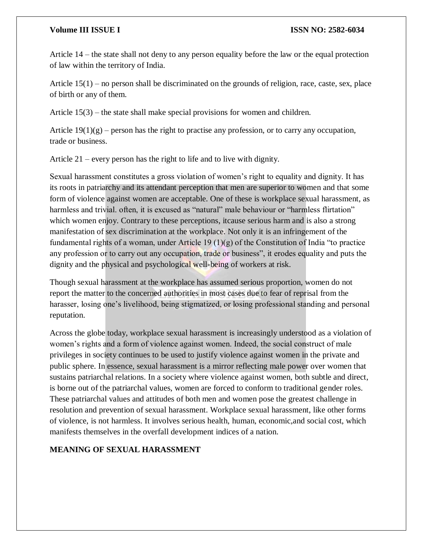Article 14 – the state shall not deny to any person equality before the law or the equal protection of law within the territory of India.

Article 15(1) – no person shall be discriminated on the grounds of religion, race, caste, sex, place of birth or any of them.

Article 15(3) – the state shall make special provisions for women and children.

Article  $19(1)(g)$  – person has the right to practise any profession, or to carry any occupation, trade or business.

Article 21 – every person has the right to life and to live with dignity.

Sexual harassment constitutes a gross violation of women's right to equality and dignity. It has its roots in patriarchy and its attendant perception that men are superior to women and that some form of violence against women are acceptable. One of these is workplace sexual harassment, as harmless and trivial, often, it is excused as "natural" male behaviour or "harmless flirtation" which women enjoy. Contrary to these perceptions, itcause serious harm and is also a strong manifestation of sex discrimination at the workplace. Not only it is an infringement of the fundamental rights of a woman, under Article 19 (1)(g) of the Constitution of India "to practice any profession or to carry out any occupation, trade or business", it erodes equality and puts the dignity and the physical and psychological well-being of workers at risk.

Though sexual harassment at the workplace has assumed serious proportion, women do not report the matter to the concerned authorities in most cases due to fear of reprisal from the harasser, losing one's livelihood, being stigmatized, or losing professional standing and personal reputation.

Across the globe today, workplace sexual harassment is increasingly understood as a violation of women's rights and a form of violence against women. Indeed, the social construct of male privileges in society continues to be used to justify violence against women in the private and public sphere. In essence, sexual harassment is a mirror reflecting male power over women that sustains patriarchal relations. In a society where violence against women, both subtle and direct, is borne out of the patriarchal values, women are forced to conform to traditional gender roles. These patriarchal values and attitudes of both men and women pose the greatest challenge in resolution and prevention of sexual harassment. Workplace sexual harassment, like other forms of violence, is not harmless. It involves serious health, human, economic,and social cost, which manifests themselves in the overfall development indices of a nation.

### **MEANING OF SEXUAL HARASSMENT**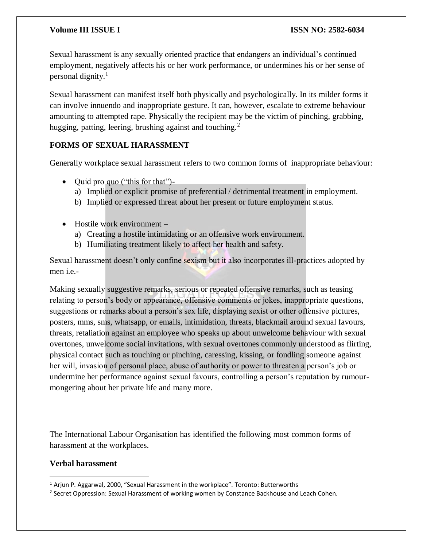Sexual harassment is any sexually oriented practice that endangers an individual's continued employment, negatively affects his or her work performance, or undermines his or her sense of personal dignity. $<sup>1</sup>$ </sup>

Sexual harassment can manifest itself both physically and psychologically. In its milder forms it can involve innuendo and inappropriate gesture. It can, however, escalate to extreme behaviour amounting to attempted rape. Physically the recipient may be the victim of pinching, grabbing, hugging, patting, leering, brushing against and touching.<sup>2</sup>

### **FORMS OF SEXUAL HARASSMENT**

Generally workplace sexual harassment refers to two common forms of inappropriate behaviour:

- Quid pro quo ("this for that")
	- a) Implied or explicit promise of preferential / detrimental treatment in employment.
	- b) Implied or expressed threat about her present or future employment status.
- Hostile work environment
	- a) Creating a hostile intimidating or an offensive work environment.
	- b) Humiliating treatment likely to affect her health and safety.

Sexual harassment doesn't only confine sexism but it also incorporates ill-practices adopted by men i.e.-

Making sexually suggestive remarks, serious or repeated offensive remarks, such as teasing relating to person's body or appearance, offensive comments or jokes, inappropriate questions, suggestions or remarks about a person's sex life, displaying sexist or other offensive pictures, posters, mms, sms, whatsapp, or emails, intimidation, threats, blackmail around sexual favours, threats, retaliation against an employee who speaks up about unwelcome behaviour with sexual overtones, unwelcome social invitations, with sexual overtones commonly understood as flirting, physical contact such as touching or pinching, caressing, kissing, or fondling someone against her will, invasion of personal place, abuse of authority or power to threaten a person's job or undermine her performance against sexual favours, controlling a person's reputation by rumourmongering about her private life and many more.

The International Labour Organisation has identified the following most common forms of harassment at the workplaces.

### **Verbal harassment**

 $\overline{\phantom{a}}$  $1$  Arjun P. Aggarwal, 2000, "Sexual Harassment in the workplace". Toronto: Butterworths

<sup>&</sup>lt;sup>2</sup> Secret Oppression: Sexual Harassment of working women by Constance Backhouse and Leach Cohen.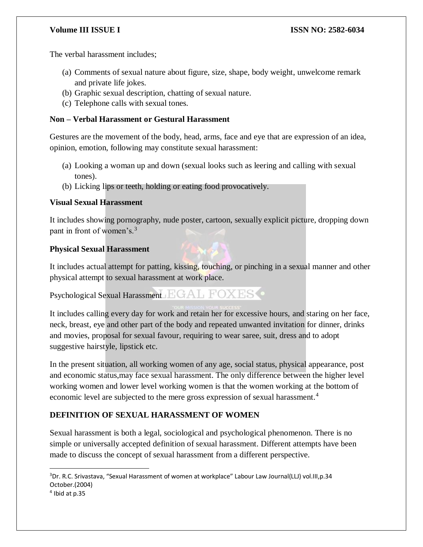The verbal harassment includes;

- (a) Comments of sexual nature about figure, size, shape, body weight, unwelcome remark and private life jokes.
- (b) Graphic sexual description, chatting of sexual nature.
- (c) Telephone calls with sexual tones.

# **Non – Verbal Harassment or Gestural Harassment**

Gestures are the movement of the body, head, arms, face and eye that are expression of an idea, opinion, emotion, following may constitute sexual harassment:

- (a) Looking a woman up and down (sexual looks such as leering and calling with sexual tones).
- (b) Licking lips or teeth, holding or eating food provocatively.

### **Visual Sexual Harassment**

It includes showing pornography, nude poster, cartoon, sexually explicit picture, dropping down pant in front of women's.<sup>3</sup>

### **Physical Sexual Harassment**

It includes actual attempt for patting, kissing, touching, or pinching in a sexual manner and other physical attempt to sexual harassment at work place.

Psychological Sexual Harassment EGAL FOXES

It includes calling every day for work and retain her for excessive hours, and staring on her face, neck, breast, eye and other part of the body and repeated unwanted invitation for dinner, drinks and movies, proposal for sexual favour, requiring to wear saree, suit, dress and to adopt suggestive hairstyle, lipstick etc.

In the present situation, all working women of any age, social status, physical appearance, post and economic status,may face sexual harassment. The only difference between the higher level working women and lower level working women is that the women working at the bottom of economic level are subjected to the mere gross expression of sexual harassment.<sup>4</sup>

# **DEFINITION OF SEXUAL HARASSMENT OF WOMEN**

Sexual harassment is both a legal, sociological and psychological phenomenon. There is no simple or universally accepted definition of sexual harassment. Different attempts have been made to discuss the concept of sexual harassment from a different perspective.

 $\overline{a}$ 

<sup>&</sup>lt;sup>3</sup>Dr. R.C. Srivastava, "Sexual Harassment of women at workplace" Labour Law Journal(LLJ) vol.III,p.34 October.(2004)

<sup>4</sup> Ibid at p.35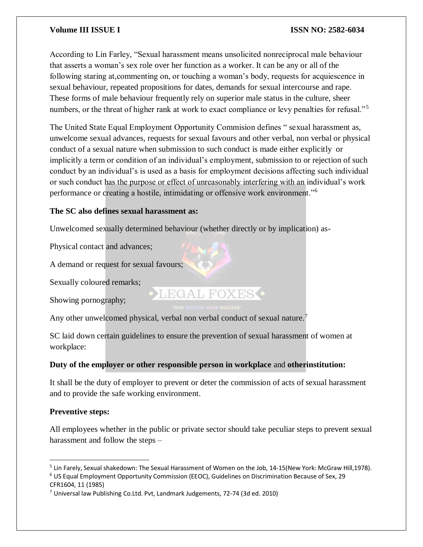According to Lin Farley, "Sexual harassment means unsolicited nonreciprocal male behaviour that asserts a woman's sex role over her function as a worker. It can be any or all of the following staring at,commenting on, or touching a woman's body, requests for acquiescence in sexual behaviour, repeated propositions for dates, demands for sexual intercourse and rape. These forms of male behaviour frequently rely on superior male status in the culture, sheer numbers, or the threat of higher rank at work to exact compliance or levy penalties for refusal."<sup>5</sup>

The United State Equal Employment Opportunity Commision defines " sexual harassment as, unwelcome sexual advances, requests for sexual favours and other verbal, non verbal or physical conduct of a sexual nature when submission to such conduct is made either explicitly or implicitly a term or condition of an individual's employment, submission to or rejection of such conduct by an individual's is used as a basis for employment decisions affecting such individual or such conduct has the purpose or effect of unreasonably interfering with an individual's work performance or creating a hostile, intimidating or offensive work environment."<sup>6</sup>

### **The SC also defines sexual harassment as:**

Unwelcomed sexually determined behaviour (whether directly or by implication) as-

Physical contact and advances;

A demand or request for sexual favours;

Sexually coloured remarks;

Showing pornography;

Any other unwelcomed physical, verbal non verbal conduct of sexual nature.<sup>7</sup>

SC laid down certain guidelines to ensure the prevention of sexual harassment of women at workplace:

LEGAL FOXES<sup>.</sup>

# **Duty of the employer or other responsible person in workplace** and **otherinstitution:**

It shall be the duty of employer to prevent or deter the commission of acts of sexual harassment and to provide the safe working environment.

# **Preventive steps:**

All employees whether in the public or private sector should take peculiar steps to prevent sexual harassment and follow the steps –

 $\overline{a}$ <sup>5</sup> Lin Farely, Sexual shakedown: The Sexual Harassment of Women on the Job, 14-15(New York: McGraw Hill,1978).

<sup>6</sup> US Equal Employment Opportunity Commission (EEOC), Guidelines on Discrimination Because of Sex, 29 CFR1604, 11 (1985)

<sup>7</sup> Universal law Publishing Co.Ltd. Pvt, Landmark Judgements, 72-74 (3d ed. 2010)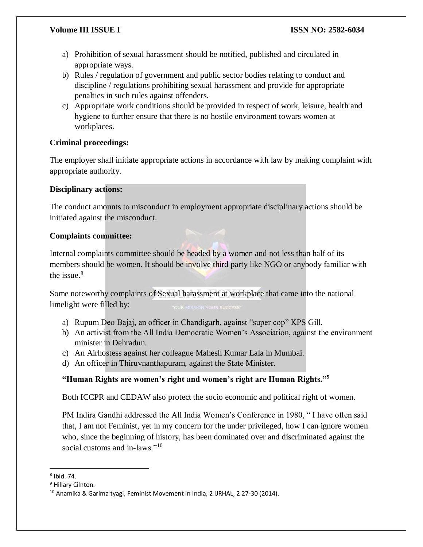- a) Prohibition of sexual harassment should be notified, published and circulated in appropriate ways.
- b) Rules / regulation of government and public sector bodies relating to conduct and discipline / regulations prohibiting sexual harassment and provide for appropriate penalties in such rules against offenders.
- c) Appropriate work conditions should be provided in respect of work, leisure, health and hygiene to further ensure that there is no hostile environment towars women at workplaces.

# **Criminal proceedings:**

The employer shall initiate appropriate actions in accordance with law by making complaint with appropriate authority.

# **Disciplinary actions:**

The conduct amounts to misconduct in employment appropriate disciplinary actions should be initiated against the misconduct.

# **Complaints committee:**

Internal complaints committee should be headed by a women and not less than half of its members should be women. It should be involve third party like NGO or anybody familiar with the issue. $8$ 

Some noteworthy complaints of Sexual harassment at workplace that came into the national limelight were filled by:

- a) Rupum Deo Bajaj, an officer in Chandigarh, against "super cop" KPS Gill.
- b) An activist from the All India Democratic Women's Association, against the environment minister in Dehradun.
- c) An Airhostess against her colleague Mahesh Kumar Lala in Mumbai.
- d) An officer in Thiruvnanthapuram, against the State Minister.

# **"Human Rights are women's right and women's right are Human Rights."<sup>9</sup>**

Both ICCPR and CEDAW also protect the socio economic and political right of women.

PM Indira Gandhi addressed the All India Women's Conference in 1980, " I have often said that, I am not Feminist, yet in my concern for the under privileged, how I can ignore women who, since the beginning of history, has been dominated over and discriminated against the social customs and in-laws."<sup>10</sup>

 $\overline{a}$ 8 Ibid. 74.

<sup>&</sup>lt;sup>9</sup> Hillary Cilnton.

<sup>&</sup>lt;sup>10</sup> Anamika & Garima tyagi, Feminist Movement in India, 2 IJRHAL, 2 27-30 (2014).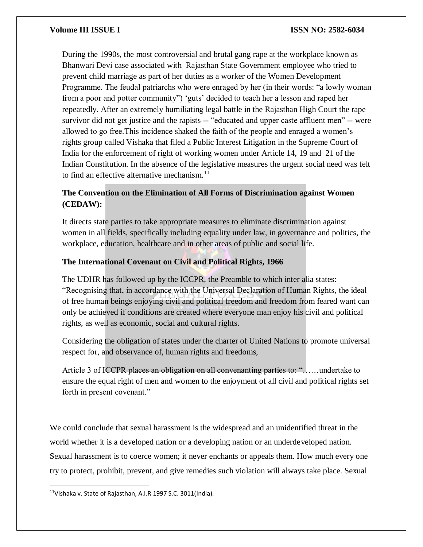During the 1990s, the most controversial and brutal gang rape at the workplace known as Bhanwari Devi case associated with Rajasthan State Government employee who tried to prevent child marriage as part of her duties as a worker of the Women Development Programme. The feudal patriarchs who were enraged by her (in their words: "a lowly woman from a poor and potter community") 'guts' decided to teach her a lesson and raped her repeatedly. After an extremely humiliating legal battle in the Rajasthan High Court the rape survivor did not get justice and the rapists -- "educated and upper caste affluent men" -- were allowed to go free.This incidence shaked the faith of the people and enraged a women's rights group called Vishaka that filed a Public Interest Litigation in the Supreme Court of India for the enforcement of right of working women under Article 14, 19 and 21 of the Indian Constitution. In the absence of the legislative measures the urgent social need was felt to find an effective alternative mechanism.<sup>11</sup>

# **The Convention on the Elimination of All Forms of Discrimination against Women (CEDAW):**

It directs state parties to take appropriate measures to eliminate discrimination against women in all fields, specifically including equality under law, in governance and politics, the workplace, education, healthcare and in other areas of public and social life.

### **The International Covenant on Civil and Political Rights, 1966**

The UDHR has followed up by the ICCPR, the Preamble to which inter alia states: "Recognising that, in accordance with the Universal Declaration of Human Rights, the ideal of free human beings enjoying civil and political freedom and freedom from feared want can only be achieved if conditions are created where everyone man enjoy his civil and political rights, as well as economic, social and cultural rights.

Considering the obligation of states under the charter of United Nations to promote universal respect for, and observance of, human rights and freedoms,

Article 3 of ICCPR places an obligation on all convenanting parties to: "……undertake to ensure the equal right of men and women to the enjoyment of all civil and political rights set forth in present covenant."

We could conclude that sexual harassment is the widespread and an unidentified threat in the world whether it is a developed nation or a developing nation or an underdeveloped nation. Sexual harassment is to coerce women; it never enchants or appeals them. How much every one try to protect, prohibit, prevent, and give remedies such violation will always take place. Sexual

 $\overline{a}$ 

<sup>&</sup>lt;sup>11</sup>Vishaka v. State of Rajasthan, A.I.R 1997 S.C. 3011(India).